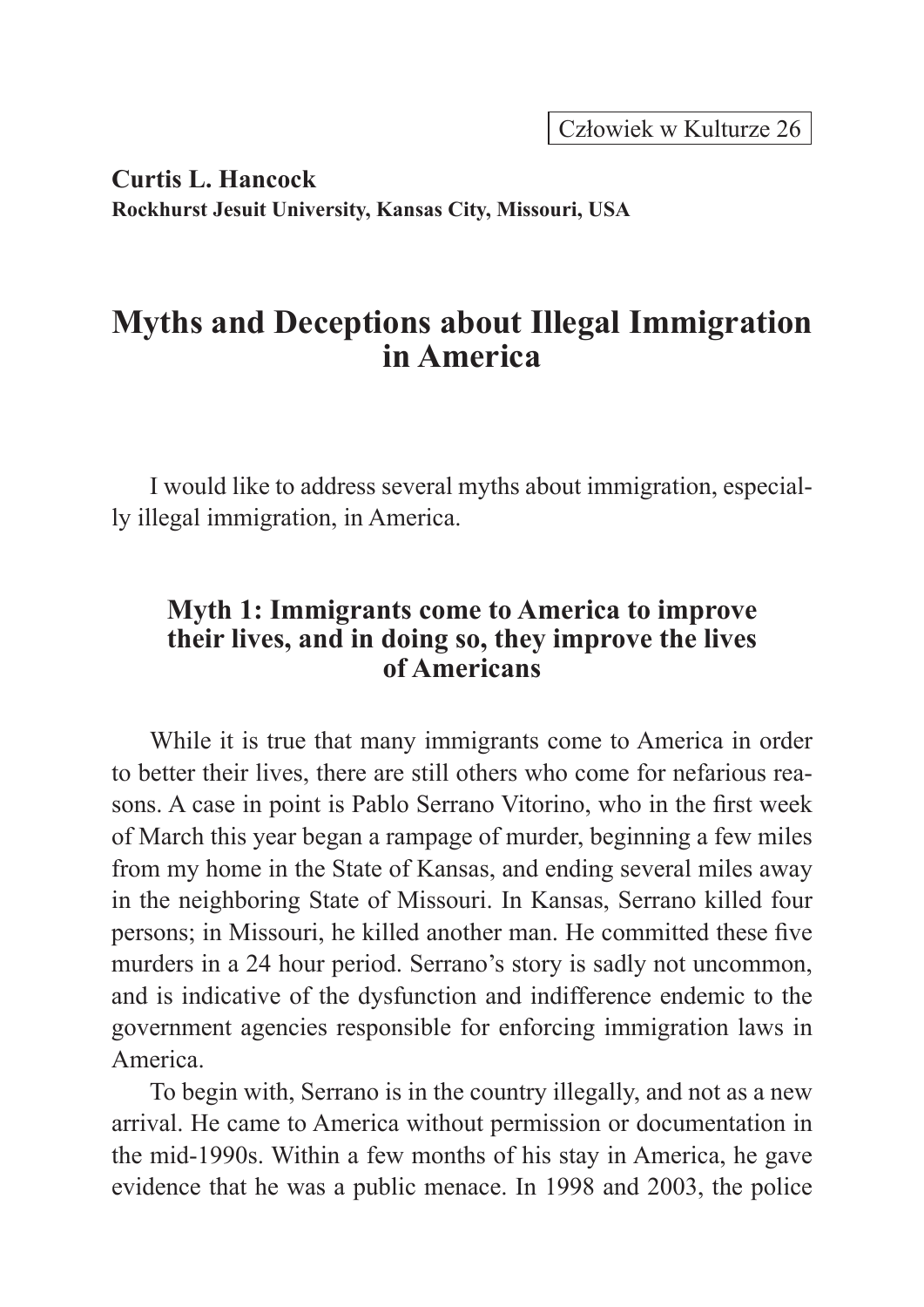Człowiek w Kulturze 26

**Curtis L. Hancock Rockhurst Jesuit University, Kansas City, Missouri, USA**

# **Myths and Deceptions about Illegal Immigration in America**

I would like to address several myths about immigration, especially illegal immigration, in America.

## **Myth 1: Immigrants come to America to improve their lives, and in doing so, they improve the lives of Americans**

While it is true that many immigrants come to America in order to better their lives, there are still others who come for nefarious reasons. A case in point is Pablo Serrano Vitorino, who in the first week of March this year began a rampage of murder, beginning a few miles from my home in the State of Kansas, and ending several miles away in the neighboring State of Missouri. In Kansas, Serrano killed four persons; in Missouri, he killed another man. He committed these five murders in a 24 hour period. Serrano's story is sadly not uncommon, and is indicative of the dysfunction and indifference endemic to the government agencies responsible for enforcing immigration laws in America.

To begin with, Serrano is in the country illegally, and not as a new arrival. He came to America without permission or documentation in the mid-1990s. Within a few months of his stay in America, he gave evidence that he was a public menace. In 1998 and 2003, the police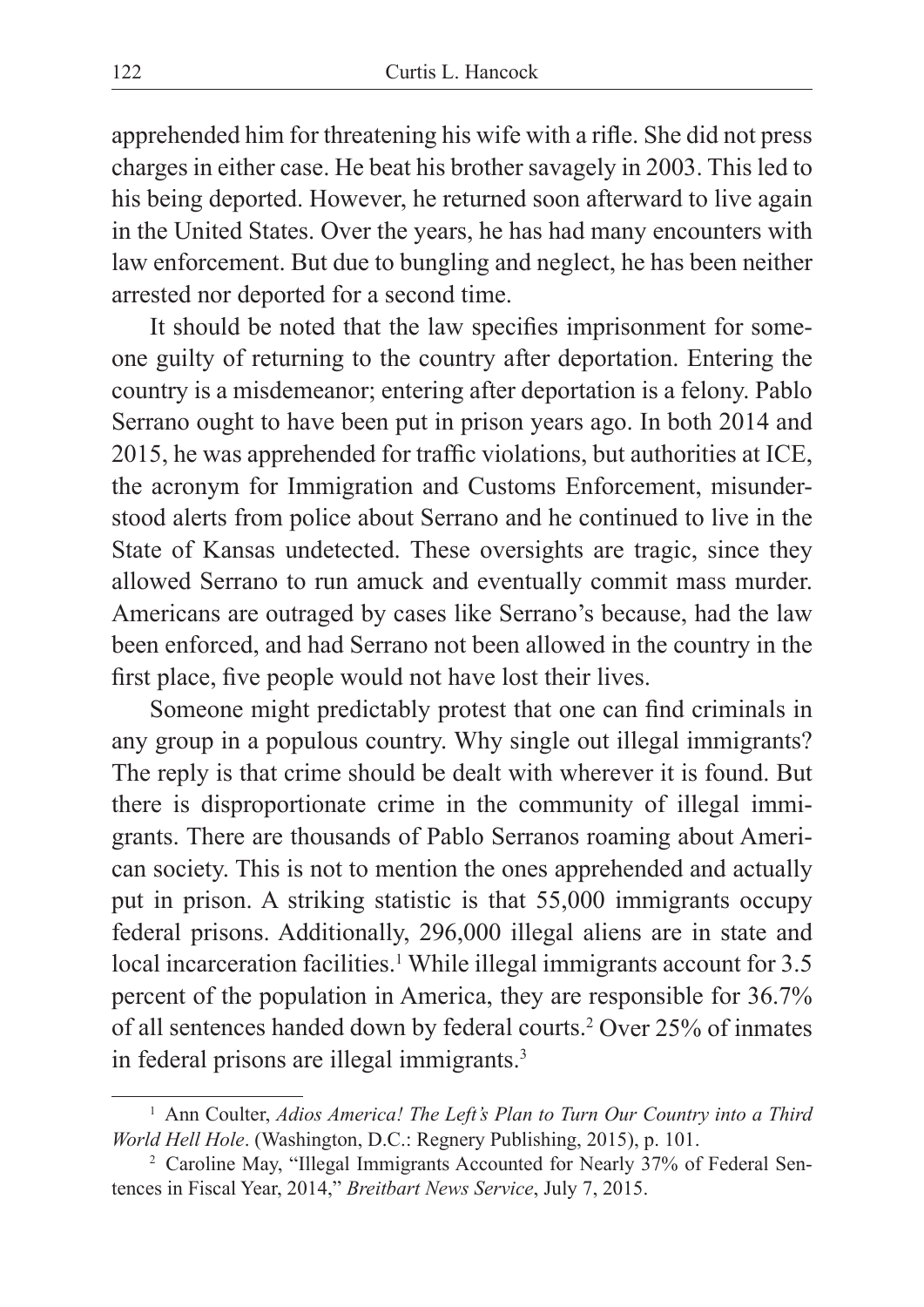apprehended him for threatening his wife with a rifle. She did not press charges in either case. He beat his brother savagely in 2003. This led to his being deported. However, he returned soon afterward to live again in the United States. Over the years, he has had many encounters with law enforcement. But due to bungling and neglect, he has been neither arrested nor deported for a second time.

It should be noted that the law specifies imprisonment for someone guilty of returning to the country after deportation. Entering the country is a misdemeanor; entering after deportation is a felony. Pablo Serrano ought to have been put in prison years ago. In both 2014 and 2015, he was apprehended for traffic violations, but authorities at ICE, the acronym for Immigration and Customs Enforcement, misunderstood alerts from police about Serrano and he continued to live in the State of Kansas undetected. These oversights are tragic, since they allowed Serrano to run amuck and eventually commit mass murder. Americans are outraged by cases like Serrano's because, had the law been enforced, and had Serrano not been allowed in the country in the first place, five people would not have lost their lives.

Someone might predictably protest that one can find criminals in any group in a populous country. Why single out illegal immigrants? The reply is that crime should be dealt with wherever it is found. But there is disproportionate crime in the community of illegal immigrants. There are thousands of Pablo Serranos roaming about American society. This is not to mention the ones apprehended and actually put in prison. A striking statistic is that 55,000 immigrants occupy federal prisons. Additionally, 296,000 illegal aliens are in state and local incarceration facilities.<sup>1</sup> While illegal immigrants account for 3.5 percent of the population in America, they are responsible for 36.7% of all sentences handed down by federal courts.2 Over 25% of inmates in federal prisons are illegal immigrants.<sup>3</sup>

<sup>1</sup> Ann Coulter, *Adios America! The Left's Plan to Turn Our Country into a Third World Hell Hole*. (Washington, D.C.: Regnery Publishing, 2015), p. 101.<br><sup>2</sup> Caroline May, "Illegal Immigrants Accounted for Nearly 37% of Federal Sen-

tences in Fiscal Year, 2014," *Breitbart News Service*, July 7, 2015.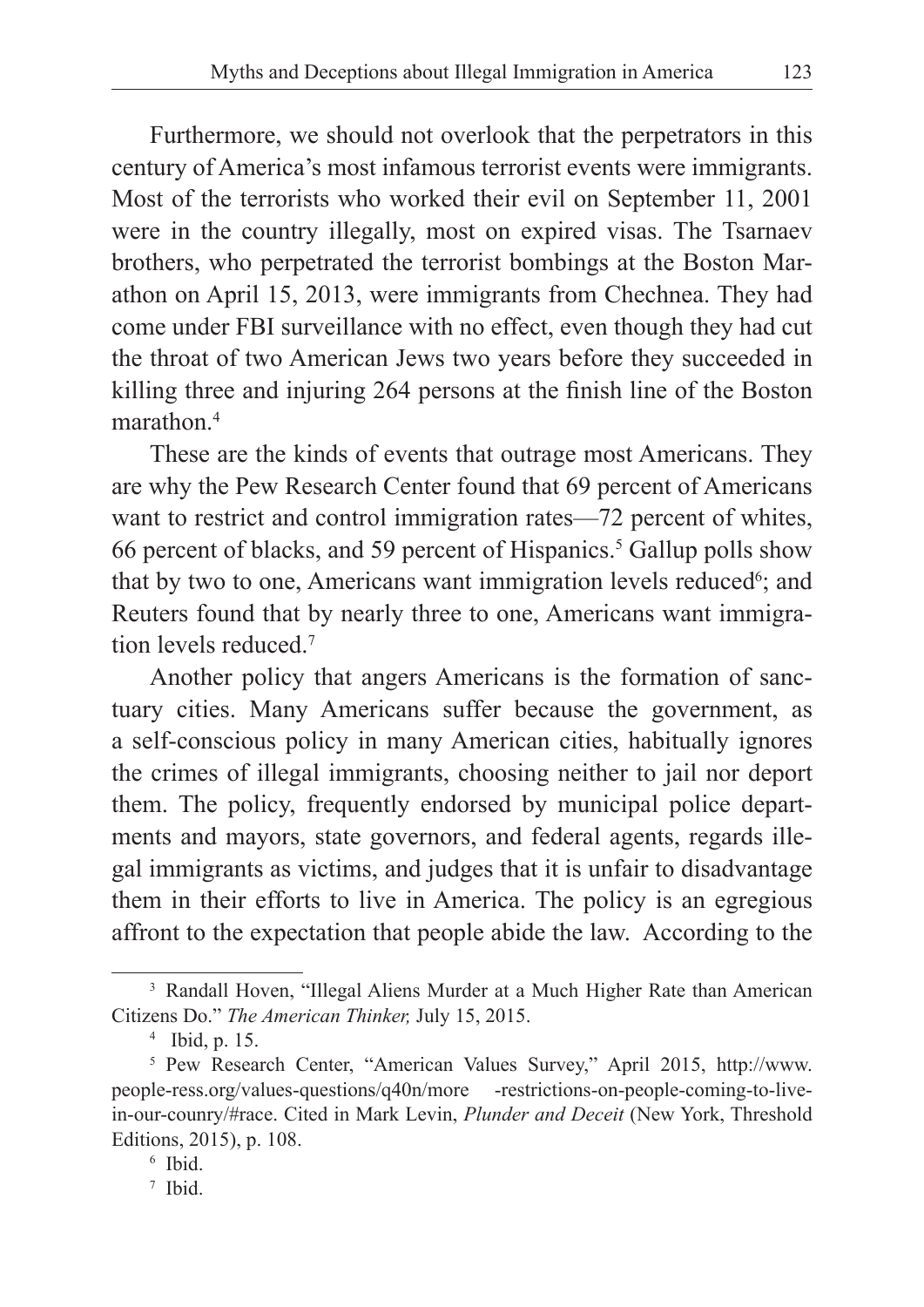Furthermore, we should not overlook that the perpetrators in this century of America's most infamous terrorist events were immigrants. Most of the terrorists who worked their evil on September 11, 2001 were in the country illegally, most on expired visas. The Tsarnaev brothers, who perpetrated the terrorist bombings at the Boston Marathon on April 15, 2013, were immigrants from Chechnea. They had come under FBI surveillance with no effect, even though they had cut the throat of two American Jews two years before they succeeded in killing three and injuring 264 persons at the finish line of the Boston marathon $4$ 

These are the kinds of events that outrage most Americans. They are why the Pew Research Center found that 69 percent of Americans want to restrict and control immigration rates—72 percent of whites, 66 percent of blacks, and 59 percent of Hispanics.<sup>5</sup> Gallup polls show that by two to one, Americans want immigration levels reduced<sup>6</sup>; and Reuters found that by nearly three to one, Americans want immigration levels reduced<sup>7</sup>

Another policy that angers Americans is the formation of sanctuary cities. Many Americans suffer because the government, as a self-conscious policy in many American cities, habitually ignores the crimes of illegal immigrants, choosing neither to jail nor deport them. The policy, frequently endorsed by municipal police departments and mayors, state governors, and federal agents, regards illegal immigrants as victims, and judges that it is unfair to disadvantage them in their efforts to live in America. The policy is an egregious affront to the expectation that people abide the law. According to the

<sup>&</sup>lt;sup>3</sup> Randall Hoven, "Illegal Aliens Murder at a Much Higher Rate than American Citizens Do." *The American Thinker,* July 15, 2015.

<sup>4</sup> Ibid, p. 15.

<sup>5</sup> Pew Research Center, "American Values Survey," April 2015, http://www. people-ress.org/values-questions/q40n/more -restrictions-on-people-coming-to-livein-our-counry/#race. Cited in Mark Levin, *Plunder and Deceit* (New York, Threshold Editions, 2015), p. 108.

<sup>6</sup> Ibid.

<sup>7</sup> Ibid.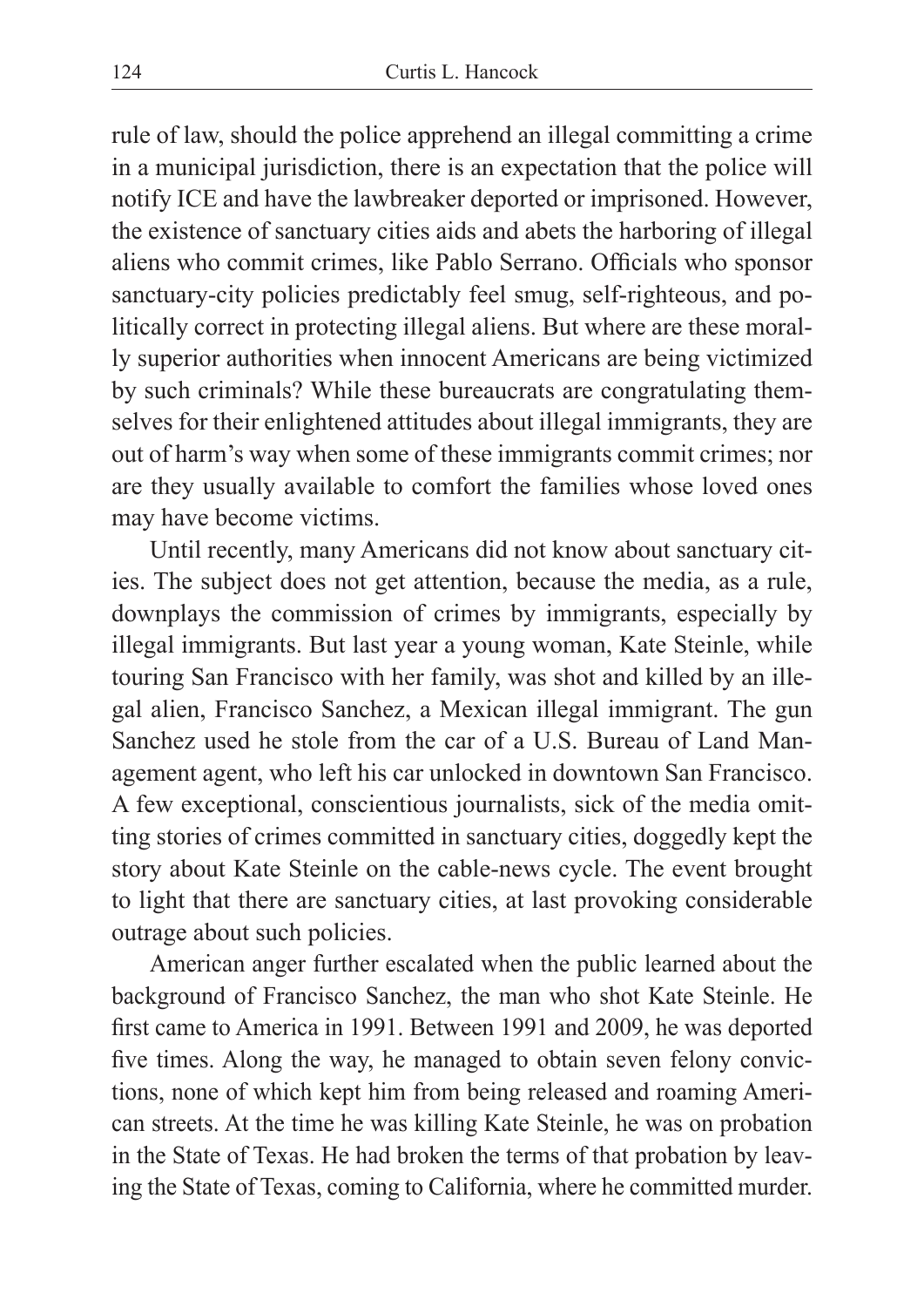rule of law, should the police apprehend an illegal committing a crime in a municipal jurisdiction, there is an expectation that the police will notify ICE and have the lawbreaker deported or imprisoned. However, the existence of sanctuary cities aids and abets the harboring of illegal aliens who commit crimes, like Pablo Serrano. Officials who sponsor sanctuary-city policies predictably feel smug, self-righteous, and politically correct in protecting illegal aliens. But where are these morally superior authorities when innocent Americans are being victimized by such criminals? While these bureaucrats are congratulating themselves for their enlightened attitudes about illegal immigrants, they are out of harm's way when some of these immigrants commit crimes; nor are they usually available to comfort the families whose loved ones may have become victims.

Until recently, many Americans did not know about sanctuary cities. The subject does not get attention, because the media, as a rule, downplays the commission of crimes by immigrants, especially by illegal immigrants. But last year a young woman, Kate Steinle, while touring San Francisco with her family, was shot and killed by an illegal alien, Francisco Sanchez, a Mexican illegal immigrant. The gun Sanchez used he stole from the car of a U.S. Bureau of Land Management agent, who left his car unlocked in downtown San Francisco. A few exceptional, conscientious journalists, sick of the media omitting stories of crimes committed in sanctuary cities, doggedly kept the story about Kate Steinle on the cable-news cycle. The event brought to light that there are sanctuary cities, at last provoking considerable outrage about such policies.

American anger further escalated when the public learned about the background of Francisco Sanchez, the man who shot Kate Steinle. He first came to America in 1991. Between 1991 and 2009, he was deported five times. Along the way, he managed to obtain seven felony convictions, none of which kept him from being released and roaming American streets. At the time he was killing Kate Steinle, he was on probation in the State of Texas. He had broken the terms of that probation by leaving the State of Texas, coming to California, where he committed murder.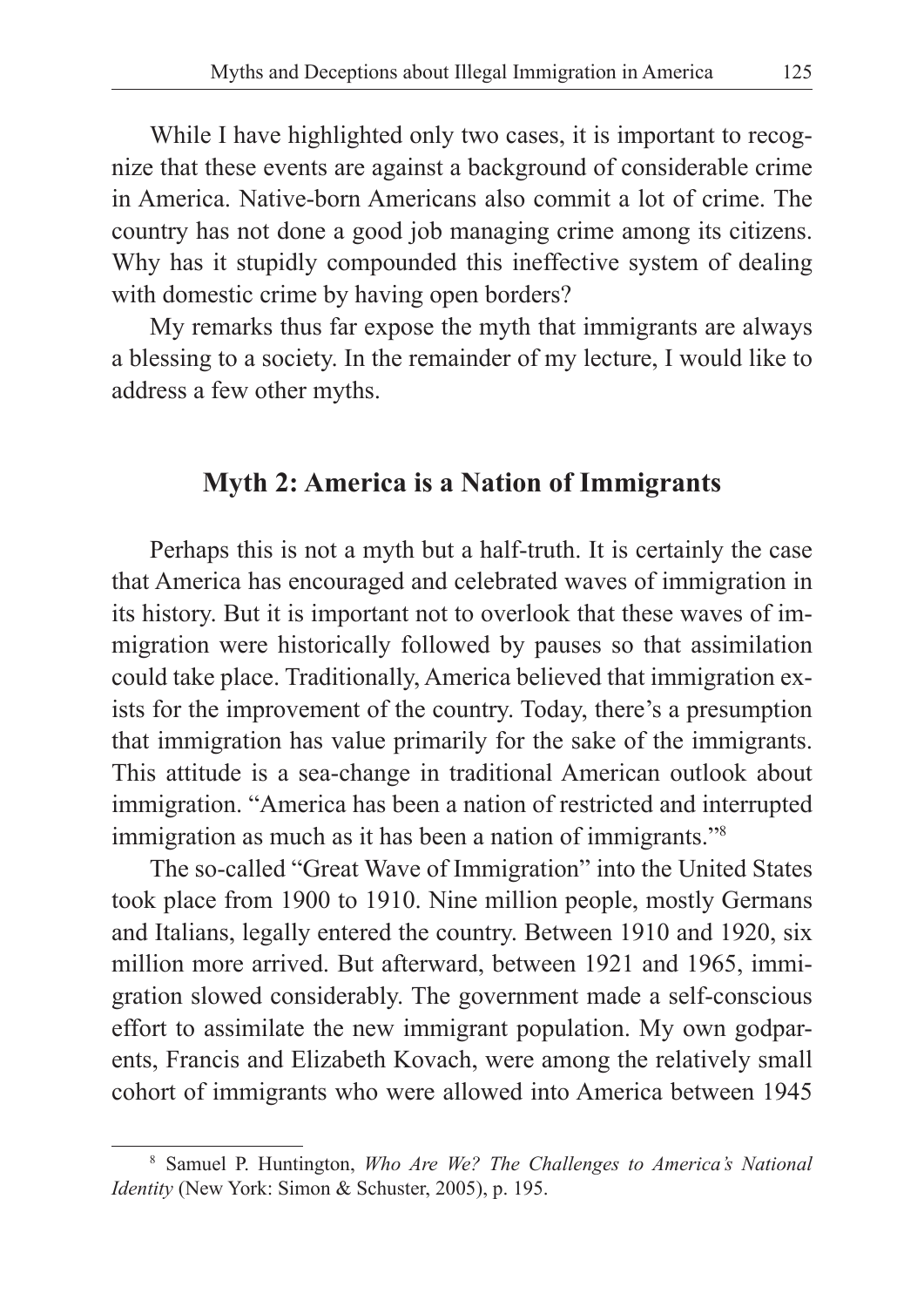While I have highlighted only two cases, it is important to recognize that these events are against a background of considerable crime in America. Native-born Americans also commit a lot of crime. The country has not done a good job managing crime among its citizens. Why has it stupidly compounded this ineffective system of dealing with domestic crime by having open borders?

My remarks thus far expose the myth that immigrants are always a blessing to a society. In the remainder of my lecture, I would like to address a few other myths.

## **Myth 2: America is a Nation of Immigrants**

Perhaps this is not a myth but a half-truth. It is certainly the case that America has encouraged and celebrated waves of immigration in its history. But it is important not to overlook that these waves of immigration were historically followed by pauses so that assimilation could take place. Traditionally, America believed that immigration exists for the improvement of the country. Today, there's a presumption that immigration has value primarily for the sake of the immigrants. This attitude is a sea-change in traditional American outlook about immigration. "America has been a nation of restricted and interrupted immigration as much as it has been a nation of immigrants."8

The so-called "Great Wave of Immigration" into the United States took place from 1900 to 1910. Nine million people, mostly Germans and Italians, legally entered the country. Between 1910 and 1920, six million more arrived. But afterward, between 1921 and 1965, immigration slowed considerably. The government made a self-conscious effort to assimilate the new immigrant population. My own godparents, Francis and Elizabeth Kovach, were among the relatively small cohort of immigrants who were allowed into America between 1945

<sup>8</sup> Samuel P. Huntington, *Who Are We? The Challenges to America's National Identity* (New York: Simon & Schuster, 2005), p. 195.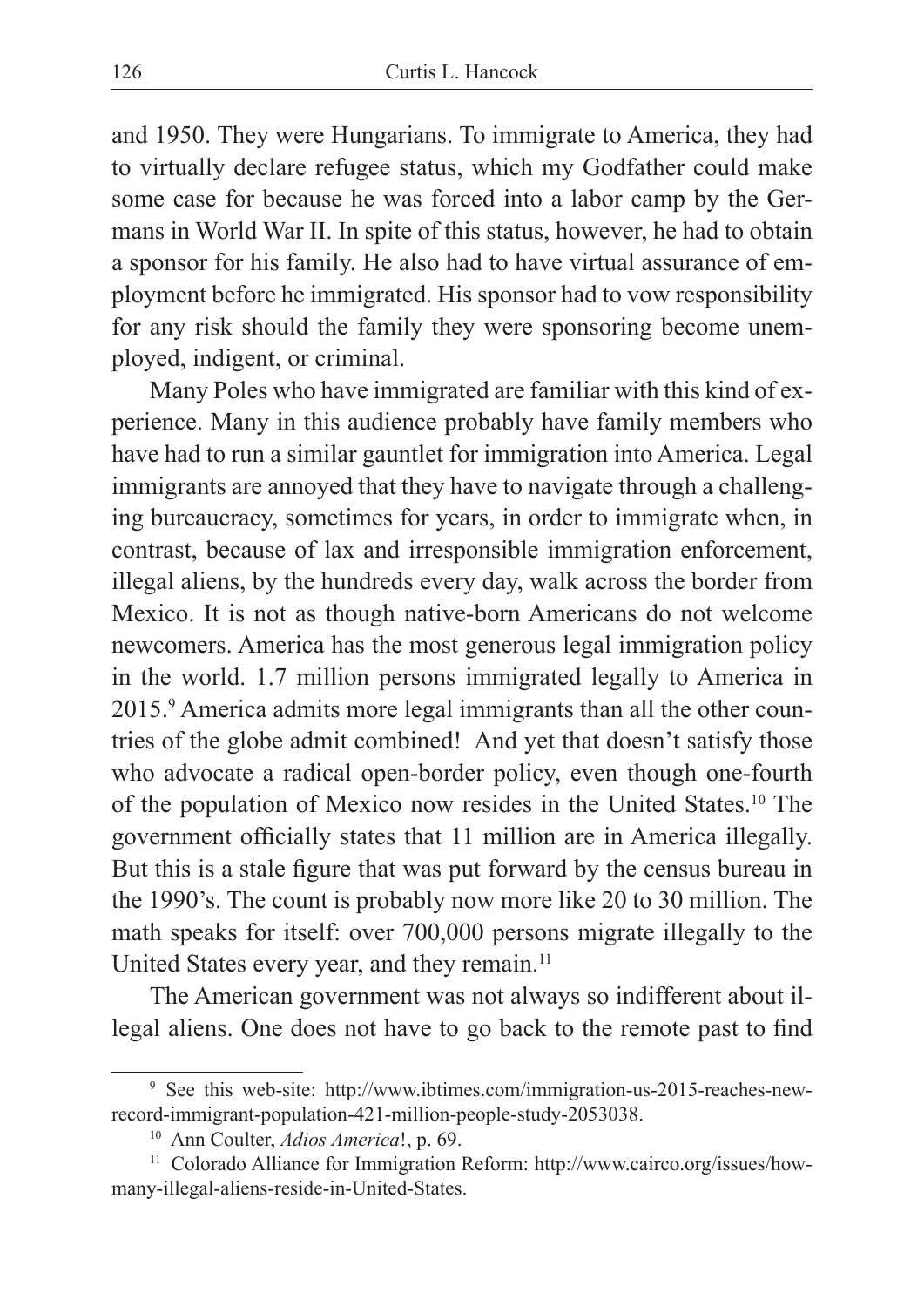and 1950. They were Hungarians. To immigrate to America, they had to virtually declare refugee status, which my Godfather could make some case for because he was forced into a labor camp by the Germans in World War II. In spite of this status, however, he had to obtain a sponsor for his family. He also had to have virtual assurance of employment before he immigrated. His sponsor had to vow responsibility for any risk should the family they were sponsoring become unemployed, indigent, or criminal.

Many Poles who have immigrated are familiar with this kind of experience. Many in this audience probably have family members who have had to run a similar gauntlet for immigration into America. Legal immigrants are annoyed that they have to navigate through a challenging bureaucracy, sometimes for years, in order to immigrate when, in contrast, because of lax and irresponsible immigration enforcement, illegal aliens, by the hundreds every day, walk across the border from Mexico. It is not as though native-born Americans do not welcome newcomers. America has the most generous legal immigration policy in the world. 1.7 million persons immigrated legally to America in 2015.<sup>9</sup> America admits more legal immigrants than all the other countries of the globe admit combined! And yet that doesn't satisfy those who advocate a radical open-border policy, even though one-fourth of the population of Mexico now resides in the United States.10 The government officially states that 11 million are in America illegally. But this is a stale figure that was put forward by the census bureau in the 1990's. The count is probably now more like 20 to 30 million. The math speaks for itself: over 700,000 persons migrate illegally to the United States every year, and they remain.<sup>11</sup>

The American government was not always so indifferent about illegal aliens. One does not have to go back to the remote past to find

<sup>9</sup> See this web-site: http://www.ibtimes.com/immigration-us-2015-reaches-newrecord-immigrant-population-421-million-people-study-2053038.

<sup>10</sup> Ann Coulter, *Adios America*!, p. 69.

<sup>&</sup>lt;sup>11</sup> Colorado Alliance for Immigration Reform: http://www.cairco.org/issues/howmany-illegal-aliens-reside-in-United-States.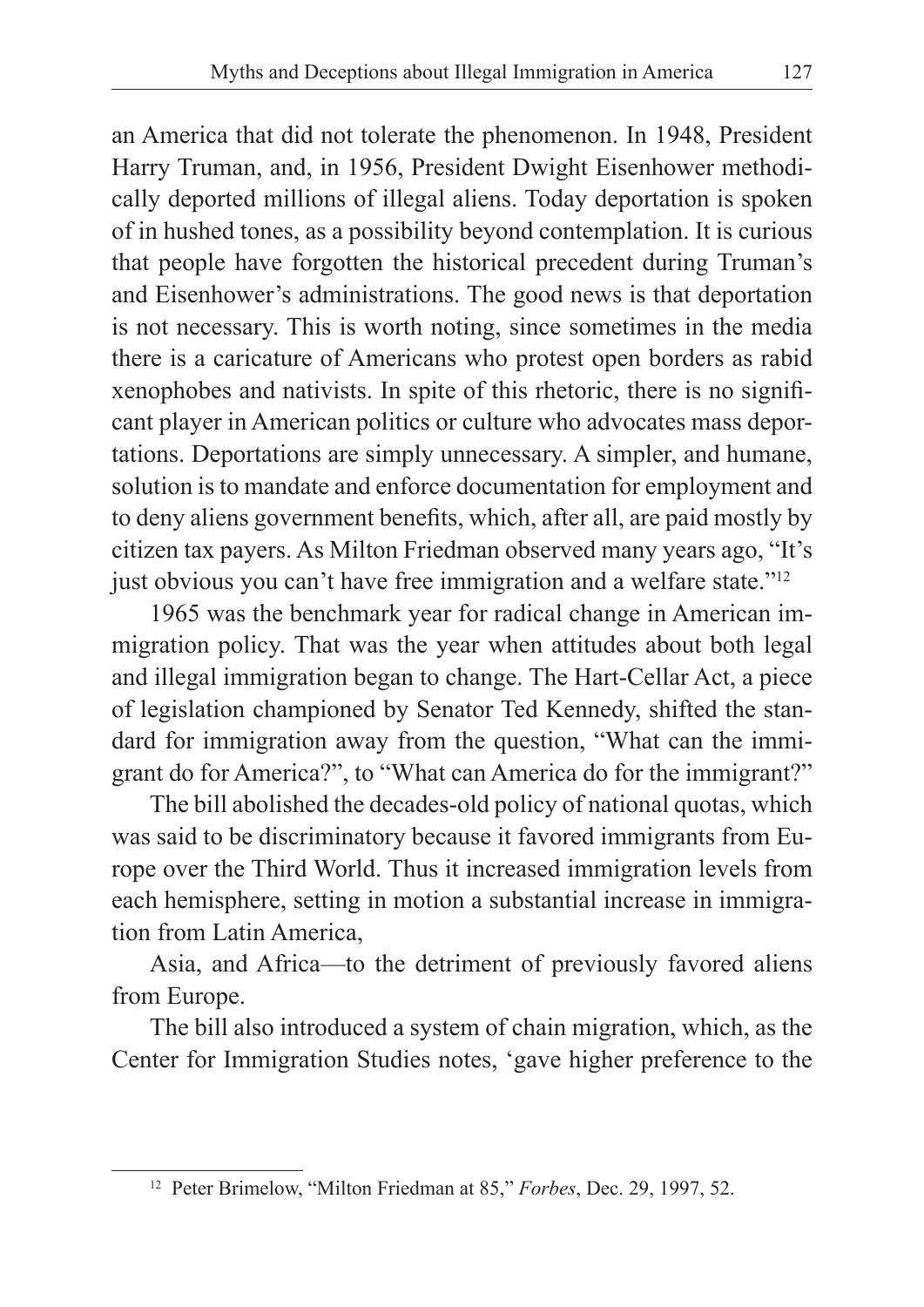an America that did not tolerate the phenomenon. In 1948, President Harry Truman, and, in 1956, President Dwight Eisenhower methodically deported millions of illegal aliens. Today deportation is spoken of in hushed tones, as a possibility beyond contemplation. It is curious that people have forgotten the historical precedent during Truman's and Eisenhower's administrations. The good news is that deportation is not necessary. This is worth noting, since sometimes in the media there is a caricature of Americans who protest open borders as rabid xenophobes and nativists. In spite of this rhetoric, there is no significant player in American politics or culture who advocates mass deportations. Deportations are simply unnecessary. A simpler, and humane, solution is to mandate and enforce documentation for employment and to deny aliens government benefits, which, after all, are paid mostly by citizen tax payers. As Milton Friedman observed many years ago, "It's just obvious you can't have free immigration and a welfare state."<sup>12</sup>

1965 was the benchmark year for radical change in American immigration policy. That was the year when attitudes about both legal and illegal immigration began to change. The Hart-Cellar Act, a piece of legislation championed by Senator Ted Kennedy, shifted the standard for immigration away from the question, "What can the immigrant do for America?", to "What can America do for the immigrant?"

The bill abolished the decades-old policy of national quotas, which was said to be discriminatory because it favored immigrants from Europe over the Third World. Thus it increased immigration levels from each hemisphere, setting in motion a substantial increase in immigration from Latin America,

Asia, and Africa—to the detriment of previously favored aliens from Europe.

The bill also introduced a system of chain migration, which, as the Center for Immigration Studies notes, 'gave higher preference to the

<sup>12</sup> Peter Brimelow, "Milton Friedman at 85," *Forbes*, Dec. 29, 1997, 52.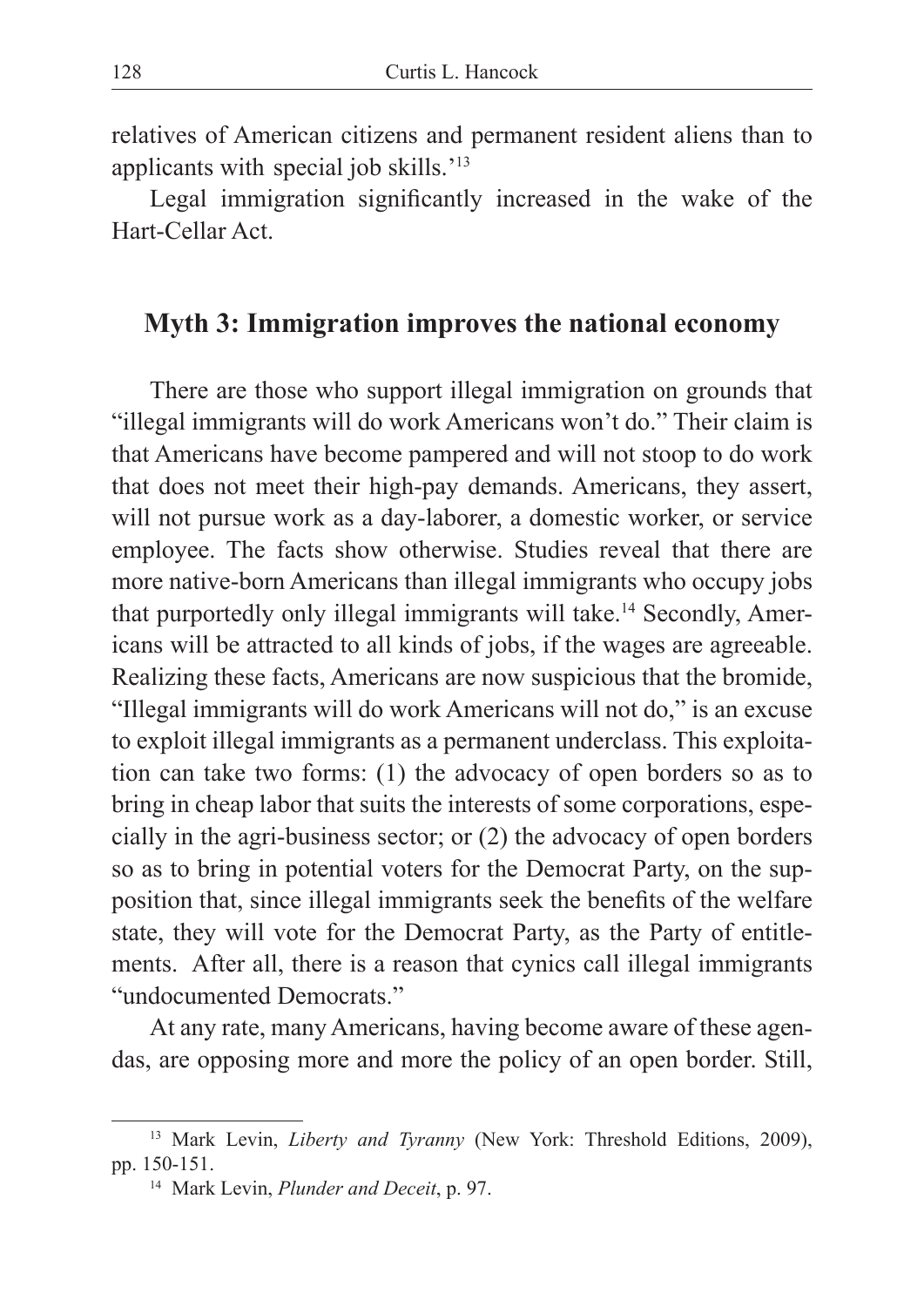relatives of American citizens and permanent resident aliens than to applicants with special job skills.'<sup>13</sup>

Legal immigration significantly increased in the wake of the Hart-Cellar Act.

### **Myth 3: Immigration improves the national economy**

There are those who support illegal immigration on grounds that "illegal immigrants will do work Americans won't do." Their claim is that Americans have become pampered and will not stoop to do work that does not meet their high-pay demands. Americans, they assert, will not pursue work as a day-laborer, a domestic worker, or service employee. The facts show otherwise. Studies reveal that there are more native-born Americans than illegal immigrants who occupy jobs that purportedly only illegal immigrants will take.14 Secondly, Americans will be attracted to all kinds of jobs, if the wages are agreeable. Realizing these facts, Americans are now suspicious that the bromide, "Illegal immigrants will do work Americans will not do," is an excuse to exploit illegal immigrants as a permanent underclass. This exploitation can take two forms: (1) the advocacy of open borders so as to bring in cheap labor that suits the interests of some corporations, especially in the agri-business sector; or (2) the advocacy of open borders so as to bring in potential voters for the Democrat Party, on the supposition that, since illegal immigrants seek the benefits of the welfare state, they will vote for the Democrat Party, as the Party of entitlements. After all, there is a reason that cynics call illegal immigrants "undocumented Democrats."

At any rate, many Americans, having become aware of these agendas, are opposing more and more the policy of an open border. Still,

<sup>13</sup> Mark Levin, *Liberty and Tyranny* (New York: Threshold Editions, 2009), pp. 150-151.

<sup>14</sup> Mark Levin, *Plunder and Deceit*, p. 97.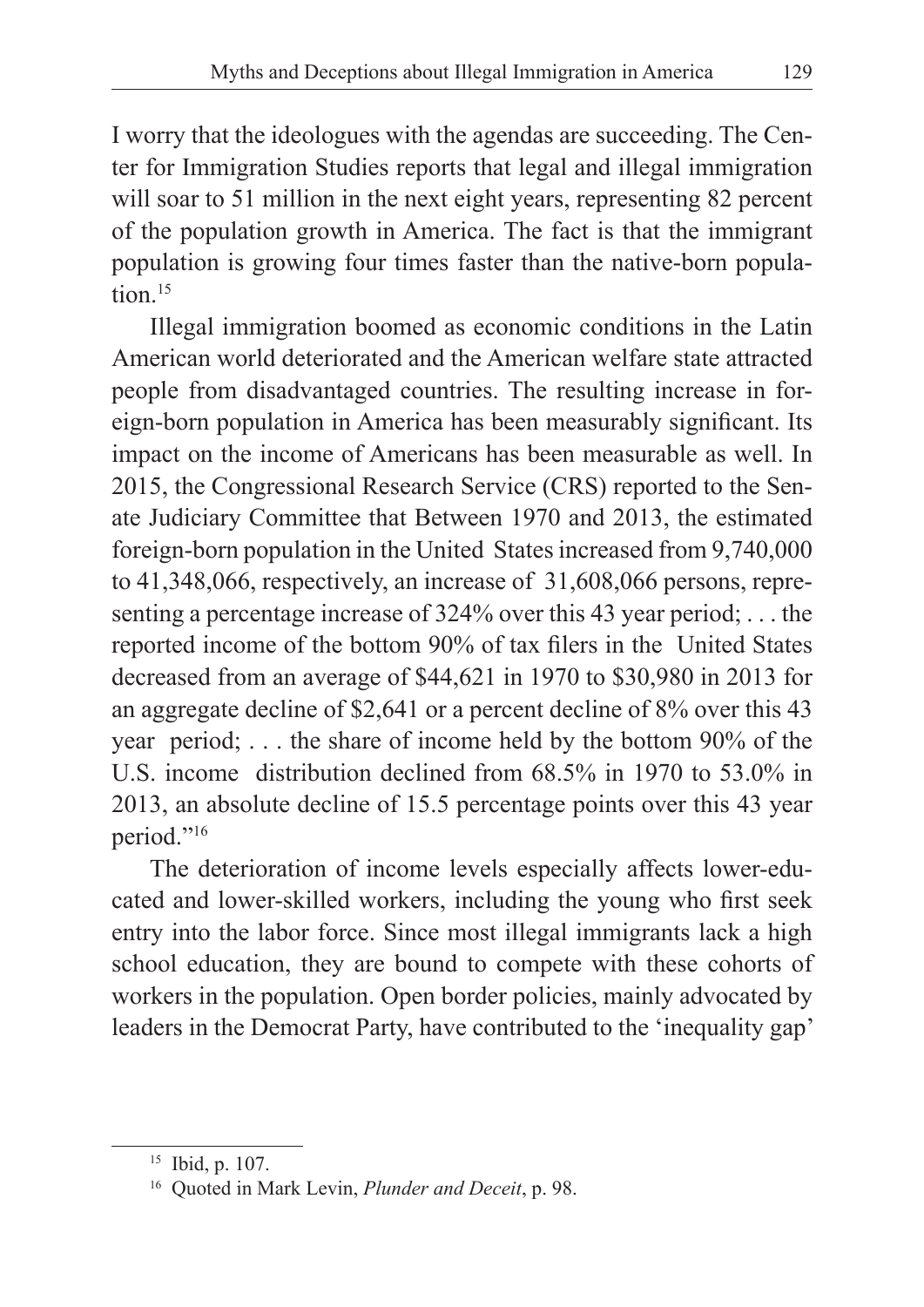I worry that the ideologues with the agendas are succeeding. The Center for Immigration Studies reports that legal and illegal immigration will soar to 51 million in the next eight years, representing 82 percent of the population growth in America. The fact is that the immigrant population is growing four times faster than the native-born population.<sup>15</sup>

Illegal immigration boomed as economic conditions in the Latin American world deteriorated and the American welfare state attracted people from disadvantaged countries. The resulting increase in foreign-born population in America has been measurably significant. Its impact on the income of Americans has been measurable as well. In 2015, the Congressional Research Service (CRS) reported to the Senate Judiciary Committee that Between 1970 and 2013, the estimated foreign-born population in the United States increased from 9,740,000 to 41,348,066, respectively, an increase of 31,608,066 persons, representing a percentage increase of 324% over this 43 year period; . . . the reported income of the bottom 90% of tax filers in the United States decreased from an average of \$44,621 in 1970 to \$30,980 in 2013 for an aggregate decline of \$2,641 or a percent decline of 8% over this 43 year period; . . . the share of income held by the bottom 90% of the U.S. income distribution declined from 68.5% in 1970 to 53.0% in 2013, an absolute decline of 15.5 percentage points over this 43 year period."<sup>16</sup>

The deterioration of income levels especially affects lower-educated and lower-skilled workers, including the young who first seek entry into the labor force. Since most illegal immigrants lack a high school education, they are bound to compete with these cohorts of workers in the population. Open border policies, mainly advocated by leaders in the Democrat Party, have contributed to the 'inequality gap'

<sup>15</sup> Ibid, p. 107.

<sup>16</sup> Quoted in Mark Levin, *Plunder and Deceit*, p. 98.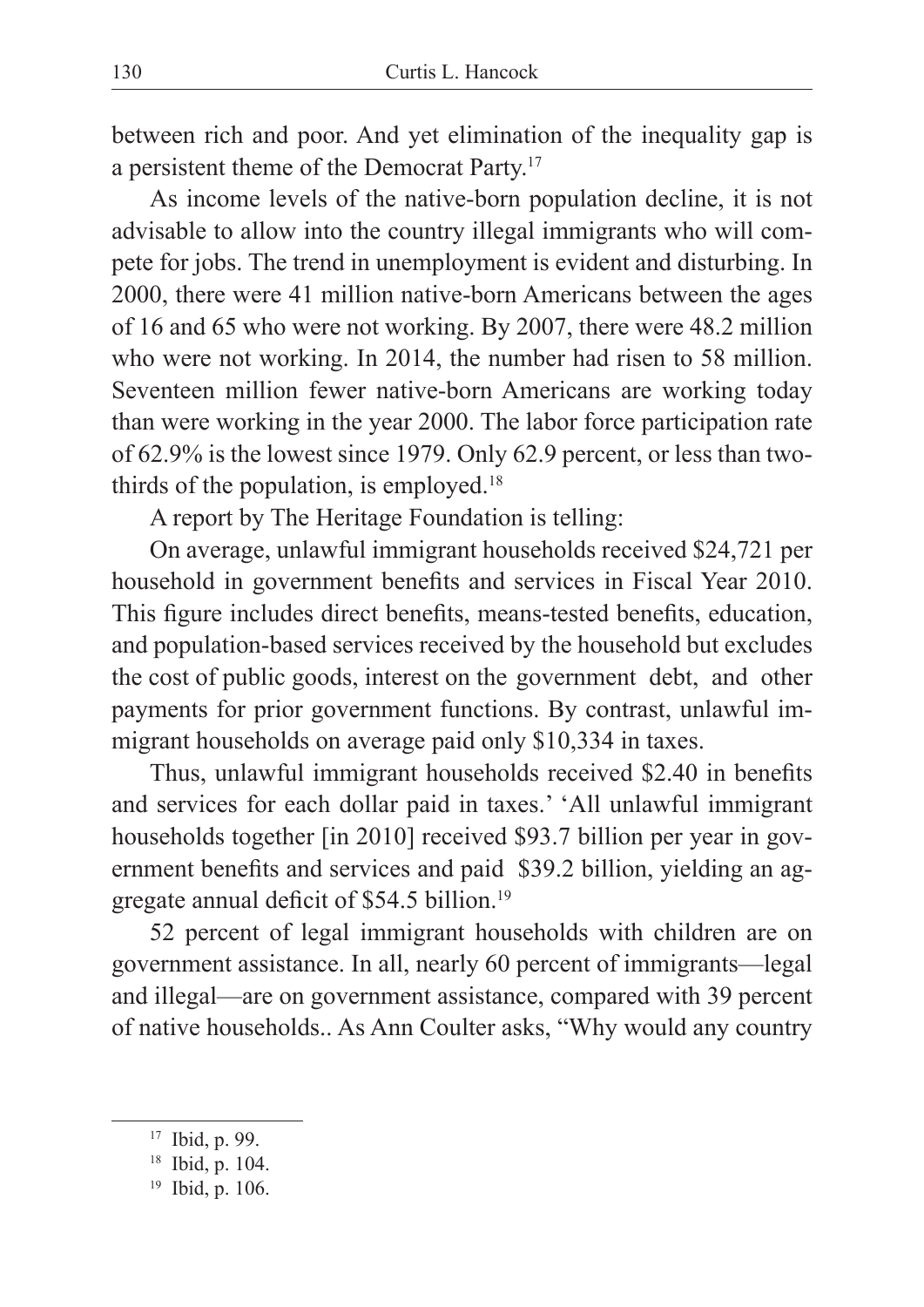between rich and poor. And yet elimination of the inequality gap is a persistent theme of the Democrat Party.17

As income levels of the native-born population decline, it is not advisable to allow into the country illegal immigrants who will compete for jobs. The trend in unemployment is evident and disturbing. In 2000, there were 41 million native-born Americans between the ages of 16 and 65 who were not working. By 2007, there were 48.2 million who were not working. In 2014, the number had risen to 58 million. Seventeen million fewer native-born Americans are working today than were working in the year 2000. The labor force participation rate of 62.9% is the lowest since 1979. Only 62.9 percent, or less than twothirds of the population, is employed.<sup>18</sup>

A report by The Heritage Foundation is telling:

On average, unlawful immigrant households received \$24,721 per household in government benefits and services in Fiscal Year 2010. This figure includes direct benefits, means-tested benefits, education, and population-based services received by the household but excludes the cost of public goods, interest on the government debt, and other payments for prior government functions. By contrast, unlawful immigrant households on average paid only \$10,334 in taxes.

Thus, unlawful immigrant households received \$2.40 in benefits and services for each dollar paid in taxes.' 'All unlawful immigrant households together [in 2010] received \$93.7 billion per year in government benefits and services and paid \$39.2 billion, yielding an aggregate annual deficit of \$54.5 billion.19

52 percent of legal immigrant households with children are on government assistance. In all, nearly 60 percent of immigrants—legal and illegal—are on government assistance, compared with 39 percent of native households.. As Ann Coulter asks, "Why would any country

<sup>&</sup>lt;sup>17</sup> Ibid, p. 99.<br><sup>18</sup> Ibid, p. 104.<br><sup>19</sup> Ibid, p. 106.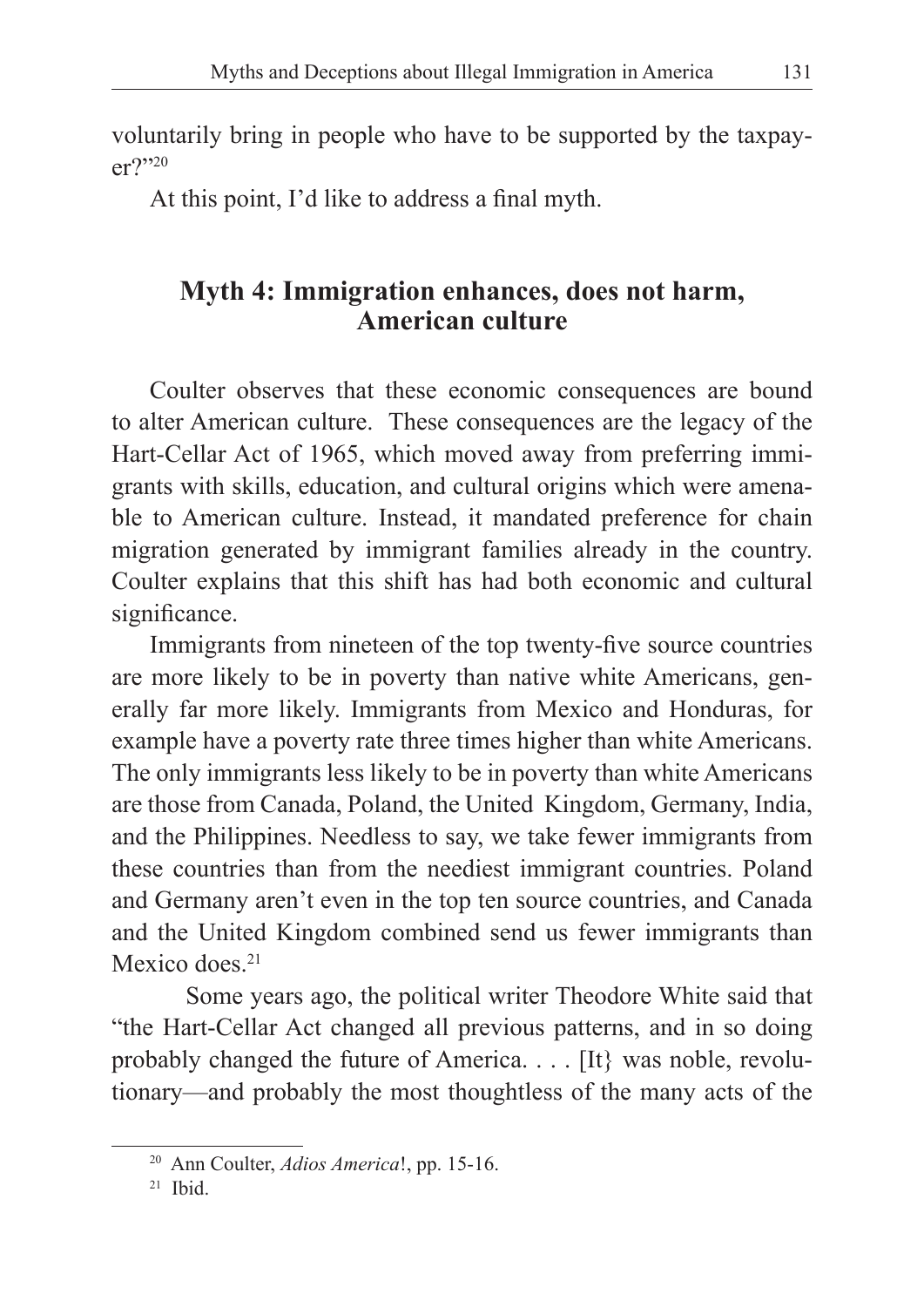voluntarily bring in people who have to be supported by the taxpayer?"20

At this point, I'd like to address a final myth.

## **Myth 4: Immigration enhances, does not harm, American culture**

Coulter observes that these economic consequences are bound to alter American culture. These consequences are the legacy of the Hart-Cellar Act of 1965, which moved away from preferring immigrants with skills, education, and cultural origins which were amenable to American culture. Instead, it mandated preference for chain migration generated by immigrant families already in the country. Coulter explains that this shift has had both economic and cultural significance.

Immigrants from nineteen of the top twenty-five source countries are more likely to be in poverty than native white Americans, generally far more likely. Immigrants from Mexico and Honduras, for example have a poverty rate three times higher than white Americans. The only immigrants less likely to be in poverty than white Americans are those from Canada, Poland, the United Kingdom, Germany, India, and the Philippines. Needless to say, we take fewer immigrants from these countries than from the neediest immigrant countries. Poland and Germany aren't even in the top ten source countries, and Canada and the United Kingdom combined send us fewer immigrants than Mexico does<sup>21</sup>

 Some years ago, the political writer Theodore White said that "the Hart-Cellar Act changed all previous patterns, and in so doing probably changed the future of America. . . . [It} was noble, revolutionary—and probably the most thoughtless of the many acts of the

<sup>20</sup> Ann Coulter, *Adios America*!, pp. 15-16.

 $21$  Ibid.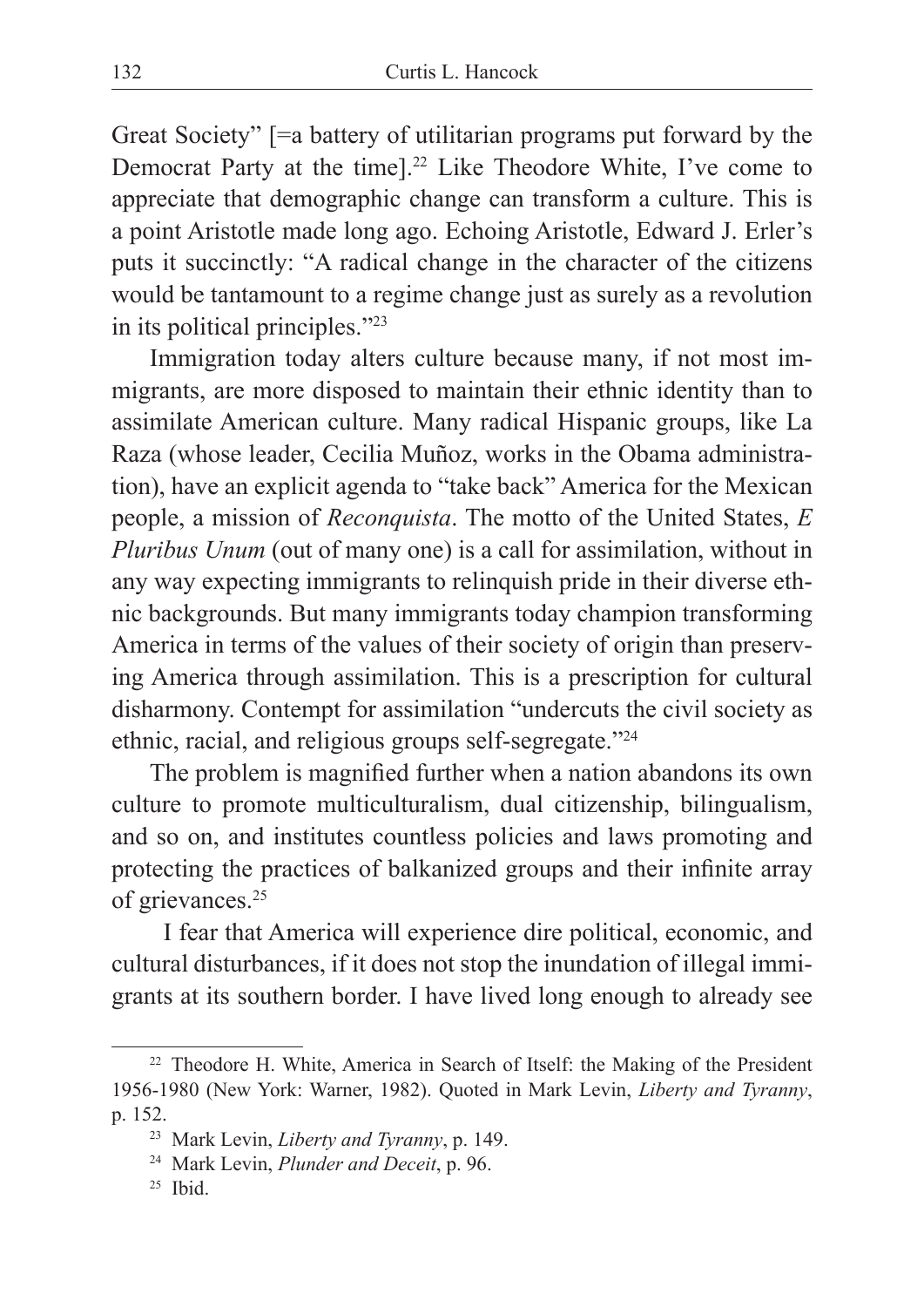Great Society" [=a battery of utilitarian programs put forward by the Democrat Party at the time].22 Like Theodore White, I've come to appreciate that demographic change can transform a culture. This is a point Aristotle made long ago. Echoing Aristotle, Edward J. Erler's puts it succinctly: "A radical change in the character of the citizens would be tantamount to a regime change just as surely as a revolution in its political principles."23

Immigration today alters culture because many, if not most immigrants, are more disposed to maintain their ethnic identity than to assimilate American culture. Many radical Hispanic groups, like La Raza (whose leader, Cecilia Muñoz, works in the Obama administration), have an explicit agenda to "take back" America for the Mexican people, a mission of *Reconquista*. The motto of the United States, *E Pluribus Unum* (out of many one) is a call for assimilation, without in any way expecting immigrants to relinquish pride in their diverse ethnic backgrounds. But many immigrants today champion transforming America in terms of the values of their society of origin than preserving America through assimilation. This is a prescription for cultural disharmony. Contempt for assimilation "undercuts the civil society as ethnic, racial, and religious groups self-segregate."24

The problem is magnified further when a nation abandons its own culture to promote multiculturalism, dual citizenship, bilingualism, and so on, and institutes countless policies and laws promoting and protecting the practices of balkanized groups and their infinite array of grievances.<sup>25</sup>

 I fear that America will experience dire political, economic, and cultural disturbances, if it does not stop the inundation of illegal immigrants at its southern border. I have lived long enough to already see

<sup>22</sup> Theodore H. White, America in Search of Itself: the Making of the President 1956-1980 (New York: Warner, 1982). Quoted in Mark Levin, *Liberty and Tyranny*,

p. 152. 23 Mark Levin, *Liberty and Tyranny*, p. 149. 24 Mark Levin, *Plunder and Deceit*, p. 96. 25 Ibid.